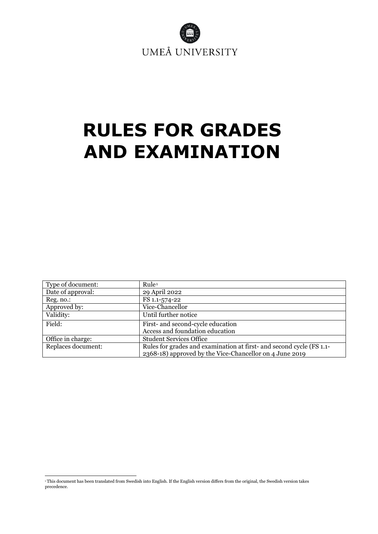

# <span id="page-0-1"></span>**RULES FOR GRADES AND EXAMINATION**

| Type of document:  | Rule <sup>1</sup>                                                    |
|--------------------|----------------------------------------------------------------------|
| Date of approval:  | 29 April 2022                                                        |
| Reg. no.:          | FS 1.1-574-22                                                        |
| Approved by:       | Vice-Chancellor                                                      |
| Validity:          | Until further notice                                                 |
| Field:             | First- and second-cycle education                                    |
|                    | Access and foundation education                                      |
| Office in charge:  | <b>Student Services Office</b>                                       |
| Replaces document: | Rules for grades and examination at first- and second cycle (FS 1.1- |
|                    | 2368-18) approved by the Vice-Chancellor on 4 June 2019              |

<span id="page-0-0"></span><sup>1</sup> This document has been translated from Swedish into English. If the English version differs from the original, the Swedish version takes precedence.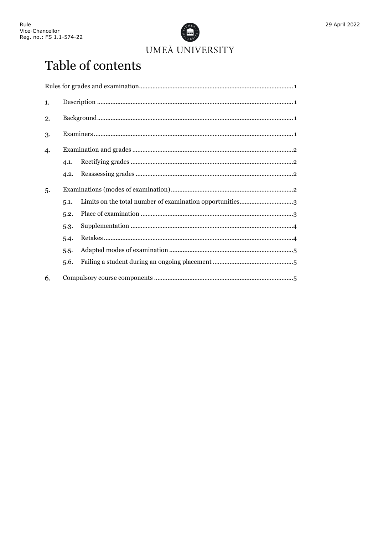

29 April 2022

## Table of contents

| 1. |      |  |
|----|------|--|
| 2. |      |  |
| 3. |      |  |
| 4. |      |  |
|    | 4.1. |  |
|    | 4.2. |  |
| 5. |      |  |
|    | 5.1. |  |
|    | 5.2. |  |
|    | 5.3. |  |
|    | 5.4. |  |
|    | 5.5. |  |
|    | 5.6. |  |
| 6. |      |  |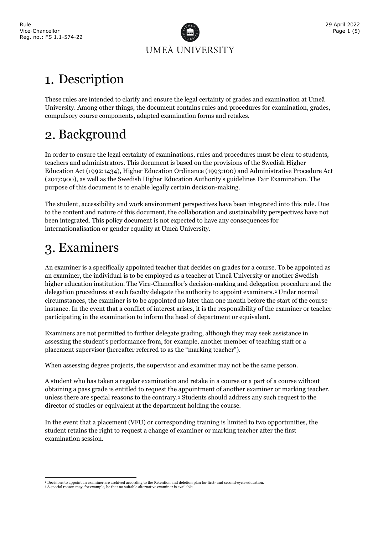

## <span id="page-2-0"></span>Description

These rules are intended to clarify and ensure the legal certainty of grades and examination at Umeå University. Among other things, the document contains rules and procedures for examination, grades, compulsory course components, adapted examination forms and retakes.

## <span id="page-2-1"></span>2. Background

In order to ensure the legal certainty of examinations, rules and procedures must be clear to students, teachers and administrators. This document is based on the provisions of the Swedish Higher Education Act (1992:1434), Higher Education Ordinance (1993:100) and Administrative Procedure Act (2017:900), as well as the Swedish Higher Education Authority's guidelines Fair Examination. The purpose of this document is to enable legally certain decision-making.

The student, accessibility and work environment perspectives have been integrated into this rule. Due to the content and nature of this document, the collaboration and sustainability perspectives have not been integrated. This policy document is not expected to have any consequences for internationalisation or gender equality at Umeå University.

## <span id="page-2-2"></span>Examiners

An examiner is a specifically appointed teacher that decides on grades for a course. To be appointed as an examiner, the individual is to be employed as a teacher at Umeå University or another Swedish higher education institution. The Vice-Chancellor's decision-making and delegation procedure and the delegation procedures at each faculty delegate the authority to appoint examiners.[2](#page-2-3) Under normal circumstances, the examiner is to be appointed no later than one month before the start of the course instance. In the event that a conflict of interest arises, it is the responsibility of the examiner or teacher participating in the examination to inform the head of department or equivalent.

Examiners are not permitted to further delegate grading, although they may seek assistance in assessing the student's performance from, for example, another member of teaching staff or a placement supervisor (hereafter referred to as the "marking teacher").

When assessing degree projects, the supervisor and examiner may not be the same person.

A student who has taken a regular examination and retake in a course or a part of a course without obtaining a pass grade is entitled to request the appointment of another examiner or marking teacher, unless there are special reasons to the contrary.[3](#page-2-4) Students should address any such request to the director of studies or equivalent at the department holding the course.

In the event that a placement (VFU) or corresponding training is limited to two opportunities, the student retains the right to request a change of examiner or marking teacher after the first examination session.

<sup>2</sup> Decisions to appoint an examiner are archived according to the Retention and deletion plan for first- and second-cycle education.

<span id="page-2-4"></span><span id="page-2-3"></span><sup>&</sup>lt;sup>3</sup> A special reason may, for example, be that no suitable alternative examiner is available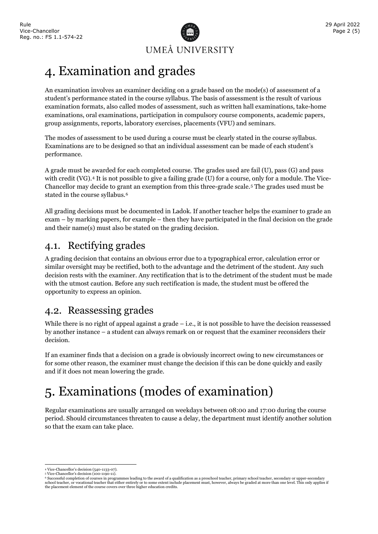

<span id="page-3-0"></span>An examination involves an examiner deciding on a grade based on the mode(s) of assessment of a student's performance stated in the course syllabus. The basis of assessment is the result of various examination formats, also called modes of assessment, such as written hall examinations, take-home examinations, oral examinations, participation in compulsory course components, academic papers, group assignments, reports, laboratory exercises, placements (VFU) and seminars.

The modes of assessment to be used during a course must be clearly stated in the course syllabus. Examinations are to be designed so that an individual assessment can be made of each student's performance.

A grade must be awarded for each completed course. The grades used are fail (U), pass (G) and pass with credit (VG).<sup>[4](#page-3-4)</sup> It is not possible to give a failing grade (U) for a course, only for a module. The Vice-Chancellor may decide to grant an exemption from this three-grade scale.[5](#page-3-5) The grades used must be stated in the course syllabus.<sup>[6](#page-3-6)</sup>

All grading decisions must be documented in Ladok. If another teacher helps the examiner to grade an exam – by marking papers, for example – then they have participated in the final decision on the grade and their name(s) must also be stated on the grading decision.

## <span id="page-3-1"></span>4.1. Rectifying grades

A grading decision that contains an obvious error due to a typographical error, calculation error or similar oversight may be rectified, both to the advantage and the detriment of the student. Any such decision rests with the examiner. Any rectification that is to the detriment of the student must be made with the utmost caution. Before any such rectification is made, the student must be offered the opportunity to express an opinion.

#### <span id="page-3-2"></span>4.2. Reassessing grades

While there is no right of appeal against a grade  $-$  i.e., it is not possible to have the decision reassessed by another instance – a student can always remark on or request that the examiner reconsiders their decision.

If an examiner finds that a decision on a grade is obviously incorrect owing to new circumstances or for some other reason, the examiner must change the decision if this can be done quickly and easily and if it does not mean lowering the grade.

## <span id="page-3-3"></span>Examinations (modes of examination)

Regular examinations are usually arranged on weekdays between 08:00 and 17:00 during the course period. Should circumstances threaten to cause a delay, the department must identify another solution so that the exam can take place.

<span id="page-3-4"></span><sup>4</sup> Vice-Chancellor's decision (540-1133-07). <sup>5</sup> Vice-Chancellor's decision (100-1190-11).

<span id="page-3-6"></span><span id="page-3-5"></span><sup>&</sup>lt;sup>6</sup> Successful completion of courses in programmes leading to the award of a qualification as a preschool teacher, primary school teacher, secondary or upper-secondary<br>school teacher, or vocational teacher that either enti the placement element of the course covers over three higher education credits.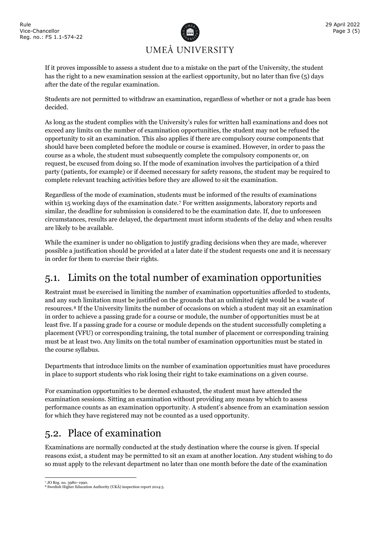

If it proves impossible to assess a student due to a mistake on the part of the University, the student has the right to a new examination session at the earliest opportunity, but no later than five (5) days after the date of the regular examination.

Students are not permitted to withdraw an examination, regardless of whether or not a grade has been decided.

As long as the student complies with the University's rules for written hall examinations and does not exceed any limits on the number of examination opportunities, the student may not be refused the opportunity to sit an examination. This also applies if there are compulsory course components that should have been completed before the module or course is examined. However, in order to pass the course as a whole, the student must subsequently complete the compulsory components or, on request, be excused from doing so. If the mode of examination involves the participation of a third party (patients, for example) or if deemed necessary for safety reasons, the student may be required to complete relevant teaching activities before they are allowed to sit the examination.

Regardless of the mode of examination, students must be informed of the results of examinations within 15 working days of the examination date.[7](#page-4-2) For written assignments, laboratory reports and similar, the deadline for submission is considered to be the examination date. If, due to unforeseen circumstances, results are delayed, the department must inform students of the delay and when results are likely to be available.

While the examiner is under no obligation to justify grading decisions when they are made, wherever possible a justification should be provided at a later date if the student requests one and it is necessary in order for them to exercise their rights.

## <span id="page-4-0"></span>5.1. Limits on the total number of examination opportunities

Restraint must be exercised in limiting the number of examination opportunities afforded to students, and any such limitation must be justified on the grounds that an unlimited right would be a waste of resources.[8](#page-4-3) If the University limits the number of occasions on which a student may sit an examination in order to achieve a passing grade for a course or module, the number of opportunities must be at least five. If a passing grade for a course or module depends on the student successfully completing a placement (VFU) or corresponding training, the total number of placement or corresponding training must be at least two. Any limits on the total number of examination opportunities must be stated in the course syllabus.

Departments that introduce limits on the number of examination opportunities must have procedures in place to support students who risk losing their right to take examinations on a given course.

For examination opportunities to be deemed exhausted, the student must have attended the examination sessions. Sitting an examination without providing any means by which to assess performance counts as an examination opportunity. A student's absence from an examination session for which they have registered may not be counted as a used opportunity.

## <span id="page-4-1"></span>5.2. Place of examination

Examinations are normally conducted at the study destination where the course is given. If special reasons exist, a student may be permitted to sit an exam at another location. Any student wishing to do so must apply to the relevant department no later than one month before the date of the examination

<sup>7</sup> JO Reg. no. 3980–1990.

<span id="page-4-3"></span><span id="page-4-2"></span><sup>8</sup> Swedish Higher Education Authority (UKÄ) inspection report 2014:5.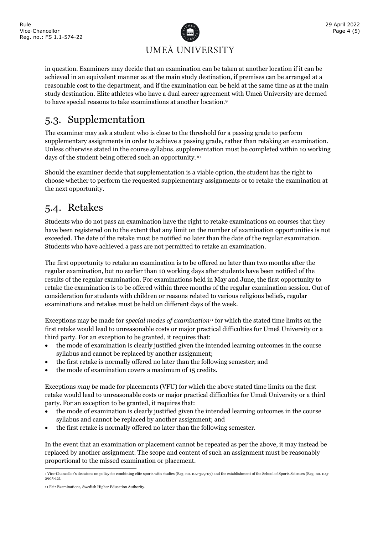

in question. Examiners may decide that an examination can be taken at another location if it can be achieved in an equivalent manner as at the main study destination, if premises can be arranged at a reasonable cost to the department, and if the examination can be held at the same time as at the main study destination. Elite athletes who have a dual career agreement with Umeå University are deemed to have special reasons to take examinations at another location.[9](#page-5-2)

## <span id="page-5-0"></span>5.3. Supplementation

The examiner may ask a student who is close to the threshold for a passing grade to perform supplementary assignments in order to achieve a passing grade, rather than retaking an examination. Unless otherwise stated in the course syllabus, supplementation must be completed within 10 working days of the student being offered such an opportunity.[10](#page-5-3)

Should the examiner decide that supplementation is a viable option, the student has the right to choose whether to perform the requested supplementary assignments or to retake the examination at the next opportunity.

#### <span id="page-5-1"></span>5.4. Retakes

Students who do not pass an examination have the right to retake examinations on courses that they have been registered on to the extent that any limit on the number of examination opportunities is not exceeded. The date of the retake must be notified no later than the date of the regular examination. Students who have achieved a pass are not permitted to retake an examination.

The first opportunity to retake an examination is to be offered no later than two months after the regular examination, but no earlier than 10 working days after students have been notified of the results of the regular examination. For examinations held in May and June, the first opportunity to retake the examination is to be offered within three months of the regular examination session. Out of consideration for students with children or reasons related to various religious beliefs, regular examinations and retakes must be held on different days of the week.

Exceptions may be made for *special modes of examination[11](#page-5-4)* for which the stated time limits on the first retake would lead to unreasonable costs or major practical difficulties for Umeå University or a third party. For an exception to be granted, it requires that:

- the mode of examination is clearly justified given the intended learning outcomes in the course syllabus and cannot be replaced by another assignment;
- the first retake is normally offered no later than the following semester; and
- the mode of examination covers a maximum of 15 credits.

Exceptions *may be* made for placements (VFU) for which the above stated time limits on the first retake would lead to unreasonable costs or major practical difficulties for Umeå University or a third party. For an exception to be granted, it requires that:

- the mode of examination is clearly justified given the intended learning outcomes in the course syllabus and cannot be replaced by another assignment; and
- the first retake is normally offered no later than the following semester.

In the event that an examination or placement cannot be repeated as per the above, it may instead be replaced by another assignment. The scope and content of such an assignment must be reasonably proportional to the missed examination or placement.

<span id="page-5-2"></span><sup>9</sup> Vice-Chancellor's decisions on policy for combining elite sports with studies (Reg. no. 102-329-07) and the establishment of the School of Sports Sciences (Reg. no. 103- 2905-12).

<span id="page-5-4"></span><span id="page-5-3"></span><sup>11</sup> Fair Examinations, Swedish Higher Education Authority.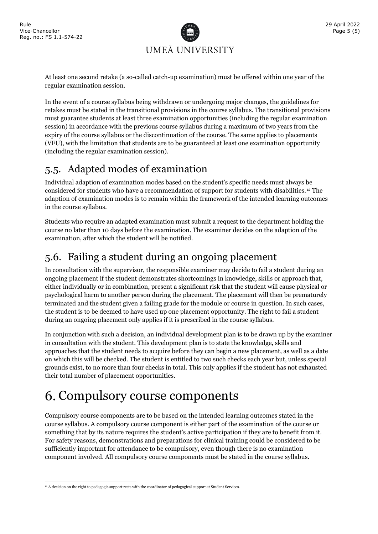

At least one second retake (a so-called catch-up examination) must be offered within one year of the regular examination session.

In the event of a course syllabus being withdrawn or undergoing major changes, the guidelines for retakes must be stated in the transitional provisions in the course syllabus. The transitional provisions must guarantee students at least three examination opportunities (including the regular examination session) in accordance with the previous course syllabus during a maximum of two years from the expiry of the course syllabus or the discontinuation of the course. The same applies to placements (VFU), with the limitation that students are to be guaranteed at least one examination opportunity (including the regular examination session).

## <span id="page-6-0"></span>5.5. Adapted modes of examination

Individual adaption of examination modes based on the student's specific needs must always be considered for students who have a recommendation of support for students with disabilities.<sup>[12](#page-6-3)</sup> The adaption of examination modes is to remain within the framework of the intended learning outcomes in the course syllabus.

Students who require an adapted examination must submit a request to the department holding the course no later than 10 days before the examination. The examiner decides on the adaption of the examination, after which the student will be notified.

## <span id="page-6-1"></span>5.6. Failing a student during an ongoing placement

In consultation with the supervisor, the responsible examiner may decide to fail a student during an ongoing placement if the student demonstrates shortcomings in knowledge, skills or approach that, either individually or in combination, present a significant risk that the student will cause physical or psychological harm to another person during the placement. The placement will then be prematurely terminated and the student given a failing grade for the module or course in question. In such cases, the student is to be deemed to have used up one placement opportunity. The right to fail a student during an ongoing placement only applies if it is prescribed in the course syllabus.

In conjunction with such a decision, an individual development plan is to be drawn up by the examiner in consultation with the student. This development plan is to state the knowledge, skills and approaches that the student needs to acquire before they can begin a new placement, as well as a date on which this will be checked. The student is entitled to two such checks each year but, unless special grounds exist, to no more than four checks in total. This only applies if the student has not exhausted their total number of placement opportunities.

## <span id="page-6-2"></span>6. Compulsory course components

Compulsory course components are to be based on the intended learning outcomes stated in the course syllabus. A compulsory course component is either part of the examination of the course or something that by its nature requires the student's active participation if they are to benefit from it. For safety reasons, demonstrations and preparations for clinical training could be considered to be sufficiently important for attendance to be compulsory, even though there is no examination component involved. All compulsory course components must be stated in the course syllabus.

<span id="page-6-3"></span><sup>&</sup>lt;sup>12</sup> A decision on the right to pedagogic support rests with the coordinator of pedagogical support at Student Services.